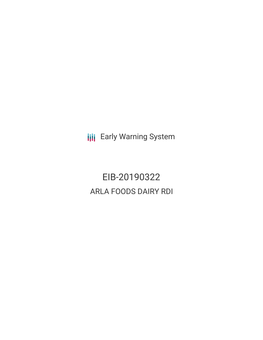**III** Early Warning System

EIB-20190322 ARLA FOODS DAIRY RDI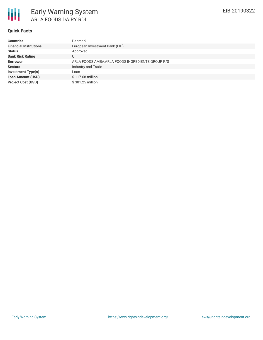

# **Quick Facts**

| <b>Countries</b>              | <b>Denmark</b>                                    |
|-------------------------------|---------------------------------------------------|
| <b>Financial Institutions</b> | European Investment Bank (EIB)                    |
| <b>Status</b>                 | Approved                                          |
| <b>Bank Risk Rating</b>       | U                                                 |
| <b>Borrower</b>               | ARLA FOODS AMBA, ARLA FOODS INGREDIENTS GROUP P/S |
| <b>Sectors</b>                | Industry and Trade                                |
| <b>Investment Type(s)</b>     | Loan                                              |
| <b>Loan Amount (USD)</b>      | \$117.68 million                                  |
| <b>Project Cost (USD)</b>     | \$301.25 million                                  |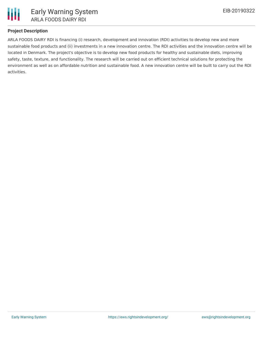

# **Project Description**

ARLA FOODS DAIRY RDI is financing (i) research, development and innovation (RDI) activities to develop new and more sustainable food products and (ii) investments in a new innovation centre. The RDI activities and the innovation centre will be located in Denmark. The project's objective is to develop new food products for healthy and sustainable diets, improving safety, taste, texture, and functionality. The research will be carried out on efficient technical solutions for protecting the environment as well as on affordable nutrition and sustainable food. A new innovation centre will be built to carry out the RDI activities.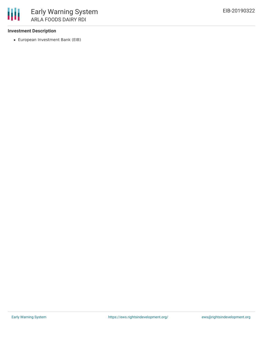## **Investment Description**

European Investment Bank (EIB)